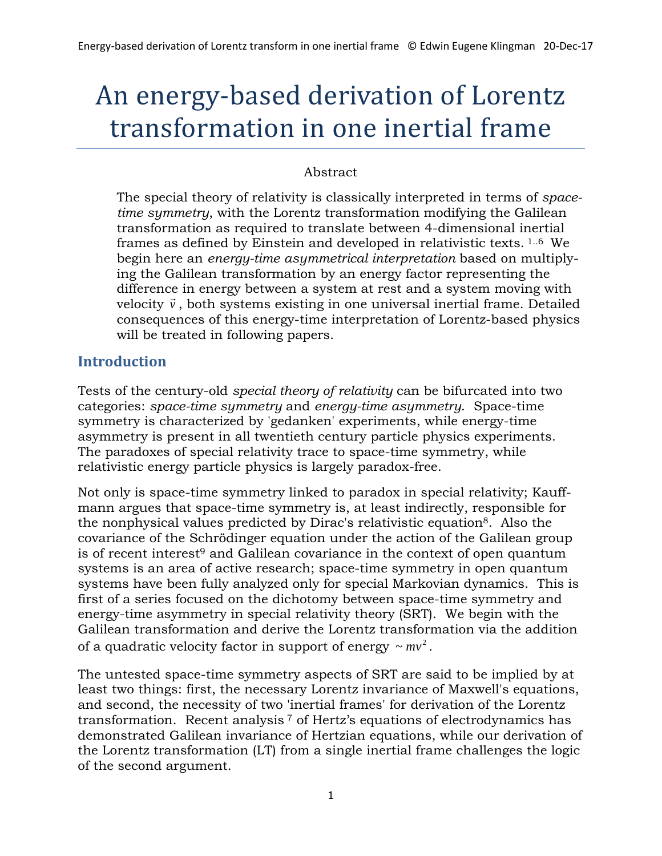# An energy-based derivation of Lorentz transformation in one inertial frame

### Abstract

The special theory of relativity is classically interpreted in terms of *spacetime symmetry*, with the Lorentz transformation modifying the Galilean transformation as required to translate between 4-dimensional inertial frames as defined by Einstein and developed in relativistic texts. 1..6 We begin here an *energy-time asymmetrical interpretation* based on multiplying the Galilean transformation by an energy factor representing the difference in energy between a system at rest and a system moving with uncreflux in energy between a system at rest and a system moving with velocity  $\vec{v}$ , both systems existing in one universal inertial frame. Detailed consequences of this energy-time interpretation of Lorentz-based physics will be treated in following papers.

# **Introduction**

Tests of the century-old *special theory of relativity* can be bifurcated into two categories: *space-time symmetry* and *energy-time asymmetry*. Space-time symmetry is characterized by 'gedanken' experiments, while energy-time asymmetry is present in all twentieth century particle physics experiments. The paradoxes of special relativity trace to space-time symmetry, while relativistic energy particle physics is largely paradox-free.

Not only is space-time symmetry linked to paradox in special relativity; Kauffmann argues that space-time symmetry is, at least indirectly, responsible for the nonphysical values predicted by Dirac's relativistic equation8. Also the covariance of the Schrödinger equation under the action of the Galilean group is of recent interest<sup>9</sup> and Galilean covariance in the context of open quantum systems is an area of active research; space-time symmetry in open quantum systems have been fully analyzed only for special Markovian dynamics. This is first of a series focused on the dichotomy between space-time symmetry and energy-time asymmetry in special relativity theory (SRT). We begin with the Galilean transformation and derive the Lorentz transformation via the addition of a quadratic velocity factor in support of energy  $\sim mv^2$ .

The untested space-time symmetry aspects of SRT are said to be implied by at least two things: first, the necessary Lorentz invariance of Maxwell's equations, and second, the necessity of two 'inertial frames' for derivation of the Lorentz transformation. Recent analysis <sup>7</sup> of Hertz's equations of electrodynamics has demonstrated Galilean invariance of Hertzian equations, while our derivation of the Lorentz transformation (LT) from a single inertial frame challenges the logic of the second argument.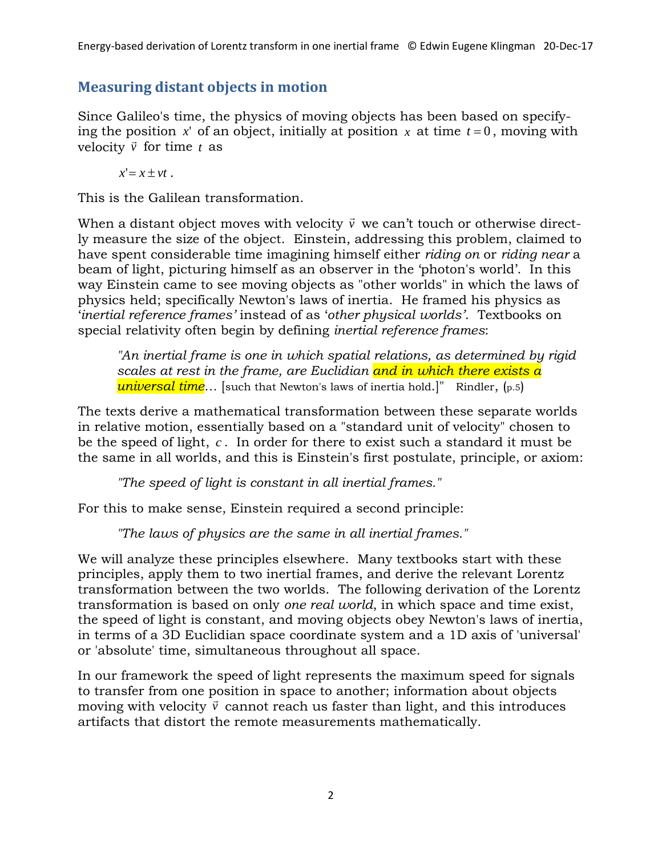# **Measuring distant objects in motion**

Since Galileo's time, the physics of moving objects has been based on specifying the position  $x'$  of an object, initially at position  $x$  at time  $t = 0$ , moving with velocity *v* for time *<sup>t</sup>* as

 $x' = x + vt$ .

This is the Galilean transformation.

When a distant object moves with velocity  $\vec{v}\,$  we can't touch or otherwise directly measure the size of the object. Einstein, addressing this problem, claimed to have spent considerable time imagining himself either *riding on* or *riding near* a beam of light, picturing himself as an observer in the 'photon's world'. In this way Einstein came to see moving objects as "other worlds" in which the laws of physics held; specifically Newton's laws of inertia. He framed his physics as '*inertial reference frames'* instead of as '*other physical worlds'*. Textbooks on special relativity often begin by defining *inertial reference frames*:

*"An inertial frame is one in which spatial relations, as determined by rigid scales at rest in the frame, are Euclidian and in which there exists a universal time…* [such that Newton's laws of inertia hold.]"Rindler, (p.5)

The texts derive a mathematical transformation between these separate worlds in relative motion, essentially based on a "standard unit of velocity" chosen to be the speed of light, *c* . In order for there to exist such a standard it must be the same in all worlds, and this is Einstein's first postulate, principle, or axiom:

*"The speed of light is constant in all inertial frames."*

For this to make sense, Einstein required a second principle:

*"The laws of physics are the same in all inertial frames."*

We will analyze these principles elsewhere. Many textbooks start with these principles, apply them to two inertial frames, and derive the relevant Lorentz transformation between the two worlds. The following derivation of the Lorentz transformation is based on only *one real world*, in which space and time exist, the speed of light is constant, and moving objects obey Newton's laws of inertia, in terms of a 3D Euclidian space coordinate system and a 1D axis of 'universal' or 'absolute' time, simultaneous throughout all space.

In our framework the speed of light represents the maximum speed for signals to transfer from one position in space to another; information about objects  $\frac{1}{2}$  moving with velocity  $\vec{v}$  cannot reach us faster than light, and this introduces artifacts that distort the remote measurements mathematically.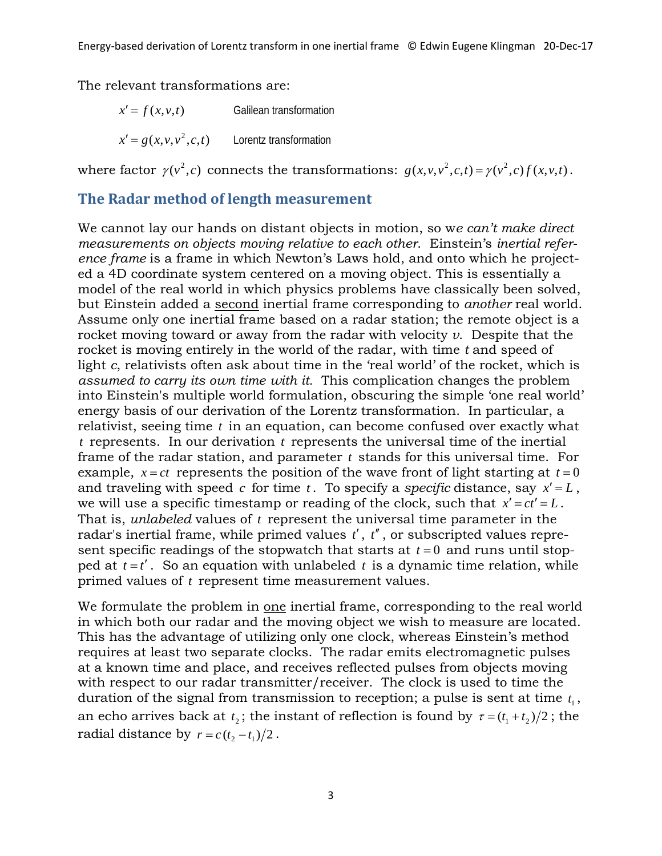The relevant transformations are:

 $x' = f(x, y, t)$  Galilean transformation  $x' = g(x, v, v^2, c, t)$  Lorentz transformation

where factor  $\gamma(v^2, c)$  connects the transformations:  $g(x, v, v^2, c, t) = \gamma(v^2, c) f(x, v, t)$ .

## **The Radar method of length measurement**

We cannot lay our hands on distant objects in motion, so w*e can't make direct measurements on objects moving relative to each other*. Einstein's *inertial reference frame* is a frame in which Newton's Laws hold, and onto which he projected a 4D coordinate system centered on a moving object. This is essentially a model of the real world in which physics problems have classically been solved, but Einstein added a second inertial frame corresponding to *another* real world. Assume only one inertial frame based on a radar station; the remote object is a rocket moving toward or away from the radar with velocity *v*. Despite that the rocket is moving entirely in the world of the radar, with time *t* and speed of light *c*, relativists often ask about time in the 'real world' of the rocket, which is *assumed to carry its own time with it.* This complication changes the problem into Einstein's multiple world formulation, obscuring the simple 'one real world' energy basis of our derivation of the Lorentz transformation. In particular, a relativist, seeing time *t* in an equation, can become confused over exactly what *t* represents. In our derivation *t* represents the universal time of the inertial frame of the radar station, and parameter *t* stands for this universal time. For example,  $x = ct$  represents the position of the wave front of light starting at  $t = 0$ and traveling with speed *c* for time *t*. To specify a *specific* distance, say  $x' = L$ , we will use a specific timestamp or reading of the clock, such that  $x' = ct' = L$ . That is, *unlabeled* values of *t* represent the universal time parameter in the radar's inertial frame, while primed values *t*′, *t*′′ , or subscripted values represent specific readings of the stopwatch that starts at  $t = 0$  and runs until stopped at  $t = t'$ . So an equation with unlabeled  $t$  is a dynamic time relation, while primed values of *t* represent time measurement values.

We formulate the problem in one inertial frame, corresponding to the real world in which both our radar and the moving object we wish to measure are located. This has the advantage of utilizing only one clock, whereas Einstein's method requires at least two separate clocks. The radar emits electromagnetic pulses at a known time and place, and receives reflected pulses from objects moving with respect to our radar transmitter/receiver. The clock is used to time the duration of the signal from transmission to reception; a pulse is sent at time  $t_1$ , an echo arrives back at  $t_2$ ; the instant of reflection is found by  $\tau = (t_1 + t_2)/2$ ; the radial distance by  $r = c(t_2 - t_1)/2$ .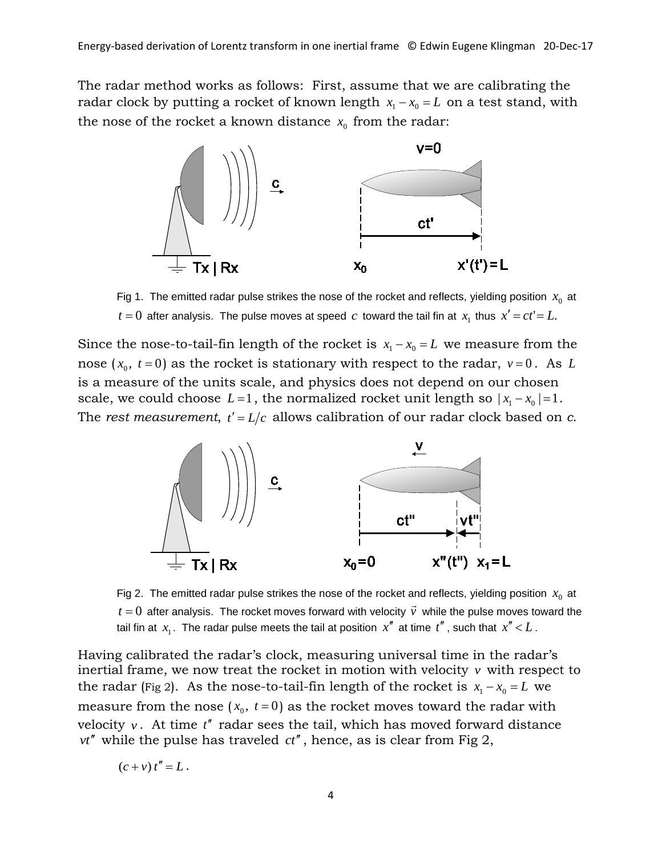The radar method works as follows: First, assume that we are calibrating the radar clock by putting a rocket of known length  $x_1 - x_0 = L$  on a test stand, with the nose of the rocket a known distance  $x_0$  from the radar:



Fig 1. The emitted radar pulse strikes the nose of the rocket and reflects, yielding position  $x<sub>0</sub>$  at *t* = 0 after analysis. The pulse moves at speed *c* toward the tail fin at  $x_1$  thus  $x' = ct' = L$ .

Since the nose-to-tail-fin length of the rocket is  $x_1 - x_0 = L$  we measure from the nose  $(x_0, t=0)$  as the rocket is stationary with respect to the radar,  $v=0$ . As *L* is a measure of the units scale, and physics does not depend on our chosen scale, we could choose  $L=1$ , the normalized rocket unit length so  $|x_1 - x_0| = 1$ . The *rest measurement*,  $t' = L/c$  allows calibration of our radar clock based on *c*.



Fig 2. The emitted radar pulse strikes the nose of the rocket and reflects, yielding position  $x<sub>0</sub>$  at  $t = 0$  after analysis. The rocket moves forward with velocity  $\vec{v}$  while the pulse moves toward the tail fin at  $x_1$ . The radar pulse meets the tail at position  $x''$  at time  $t''$ , such that  $x'' < L$ .

Having calibrated the radar's clock, measuring universal time in the radar's inertial frame, we now treat the rocket in motion with velocity *v* with respect to the radar (Fig 2). As the nose-to-tail-fin length of the rocket is  $x_1 - x_0 = L$  we measure from the nose  $(x_0, t=0)$  as the rocket moves toward the radar with velocity  $v$ . At time  $t''$  radar sees the tail, which has moved forward distance *vt*′′ while the pulse has traveled *ct*′′, hence, as is clear from Fig 2,

$$
(c + v) t'' = L.
$$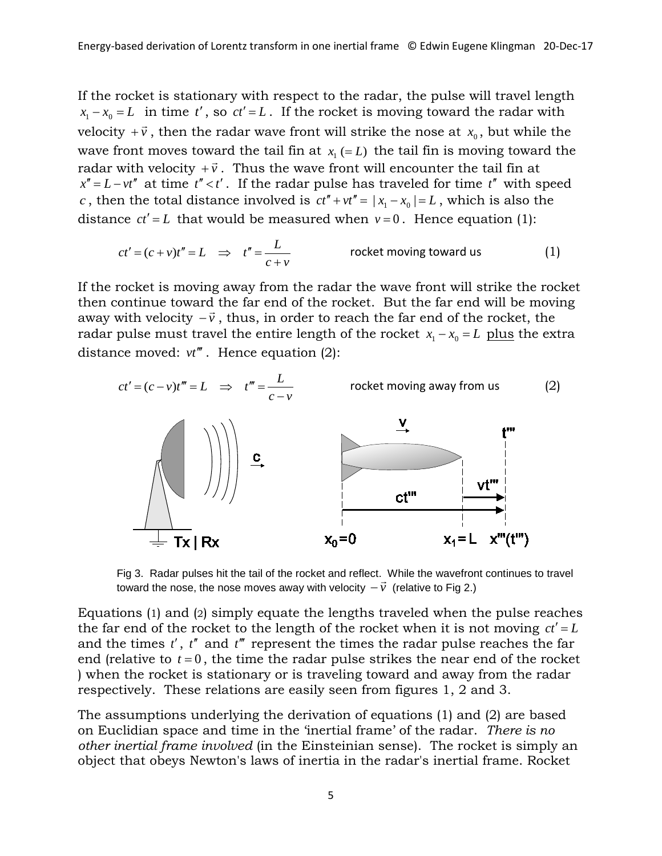If the rocket is stationary with respect to the radar, the pulse will travel length  $x_1 - x_0 = L$  in time *t'*, so  $ct' = L$ . If the rocket is moving toward the radar with velocity  $+\vec{v}$ , then the radar wave front will strike the nose at  $x_0$ , but while the wave front moves toward the tail fin at  $x_1 (= L)$  the tail fin is moving toward the radar with velocity  $+\vec{v}$ . Thus the wave front will encounter the tail fin at  $x'' = L - vt''$  at time  $t'' < t'$ . If the radar pulse has traveled for time  $t''$  with speed *c*, then the total distance involved is  $ct'' + vt'' = |x_1 - x_0| = L$ , which is also the distance  $ct' = L$  that would be measured when  $v = 0$ . Hence equation (1):

$$
ct' = (c + v)t'' = L \implies t'' = \frac{L}{c + v}
$$
 rocket moving toward us (1)

If the rocket is moving away from the radar the wave front will strike the rocket then continue toward the far end of the rocket. But the far end will be moving away with velocity  $-\vec{v}$ , thus, in order to reach the far end of the rocket, the radar pulse must travel the entire length of the rocket  $x_1 - x_0 = L$  plus the extra distance moved:  $vt$ <sup>*'''*</sup>. Hence equation (2):



Fig 3. Radar pulses hit the tail of the rocket and reflect. While the wavefront continues to travel rig 5. Radar puises nit the tail of the rocket and reliect. Wrille the waverforitier<br>toward the nose, the nose moves away with velocity  $-\vec{v}$  (relative to Fig 2.)

Equations (1) and (2) simply equate the lengths traveled when the pulse reaches the far end of the rocket to the length of the rocket when it is not moving  $ct' = L$ and the times *t*′, *t*′′ and *t*′′′ represent the times the radar pulse reaches the far end (relative to  $t = 0$ , the time the radar pulse strikes the near end of the rocket ) when the rocket is stationary or is traveling toward and away from the radar respectively. These relations are easily seen from figures 1, 2 and 3.

The assumptions underlying the derivation of equations (1) and (2) are based on Euclidian space and time in the 'inertial frame' of the radar. *There is no other inertial frame involved* (in the Einsteinian sense). The rocket is simply an object that obeys Newton's laws of inertia in the radar's inertial frame. Rocket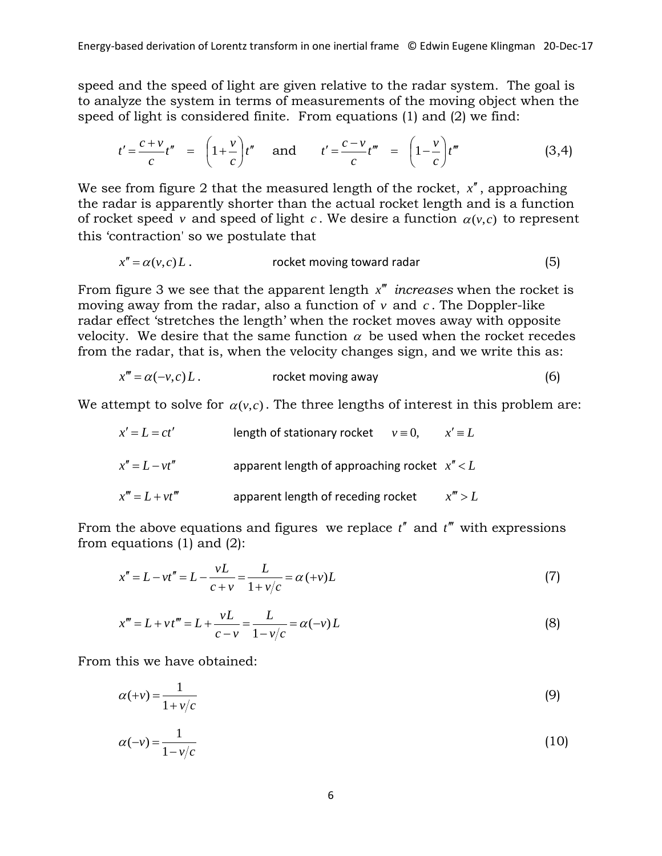speed and the speed of light are given relative to the radar system. The goal is to analyze the system in terms of measurements of the moving object when the speed of light is considered finite. From equations (1) and (2) we find:

$$
t' = \frac{c+v}{c}t'' \quad = \quad \left(1+\frac{v}{c}\right)t'' \quad \text{and} \quad t' = \frac{c-v}{c}t''' \quad = \quad \left(1-\frac{v}{c}\right)t''' \tag{3.4}
$$

We see from figure 2 that the measured length of the rocket,  $x''$ , approaching the radar is apparently shorter than the actual rocket length and is a function of rocket speed *v* and speed of light *c*. We desire a function  $\alpha(v,c)$  to represent this 'contraction' so we postulate that

$$
x'' = \alpha(v, c) L.
$$

From figure 3 we see that the apparent length  $x''$  *increases* when the rocket is moving away from the radar, also a function of  $v$  and  $c$ . The Doppler-like radar effect 'stretches the length' when the rocket moves away with opposite velocity. We desire that the same function  $\alpha$  be used when the rocket recedes from the radar, that is, when the velocity changes sign, and we write this as:

$$
x''' = \alpha(-v, c) L.
$$

We attempt to solve for  $\alpha(v,c)$ . The three lengths of interest in this problem are:

| $x' = L = ct'$    | length of stationary rocket           | $v \equiv 0$ , | $x' \equiv L$ |
|-------------------|---------------------------------------|----------------|---------------|
| $x'' = L - vt''$  | apparent length of approaching rocket | $x'' < L$      |               |
| $x''' = L + vt''$ | apparent length of receding rocket    | $x''' > L$     |               |

From the above equations and figures we replace  $t''$  and  $t'''$  with expressions from equations (1) and (2):

$$
x'' = L - vt'' = L - \frac{vL}{c + v} = \frac{L}{1 + v/c} = \alpha (+v)L
$$
\n(7)

$$
x''' = L + vt''' = L + \frac{vL}{c - v} = \frac{L}{1 - v/c} = \alpha(-v)L
$$
\n(8)

From this we have obtained:

$$
\alpha(+v) = \frac{1}{1+v/c} \tag{9}
$$

$$
\alpha(-\nu) = \frac{1}{1 - \nu/c} \tag{10}
$$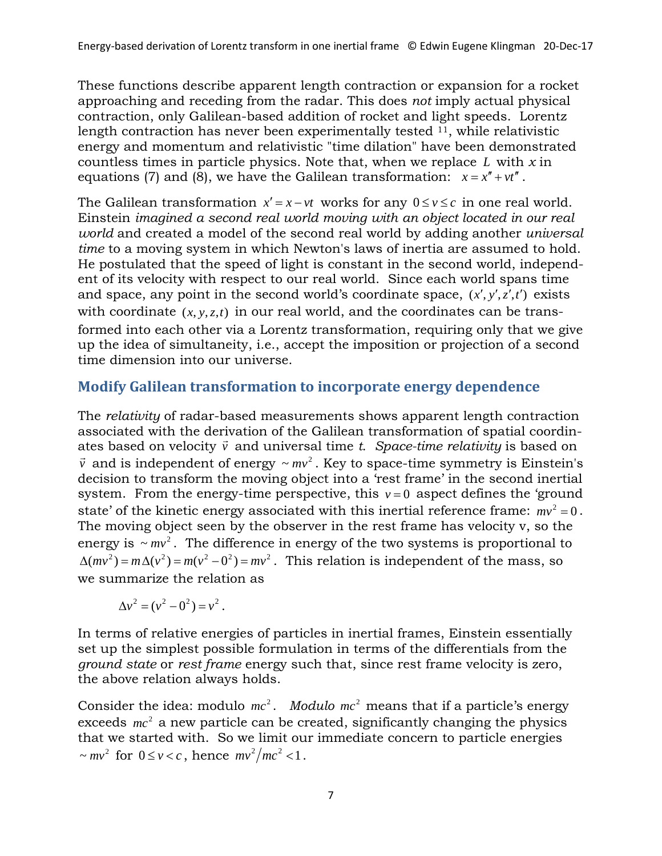These functions describe apparent length contraction or expansion for a rocket approaching and receding from the radar. This does *not* imply actual physical contraction, only Galilean-based addition of rocket and light speeds. Lorentz length contraction has never been experimentally tested  $^{11}$ , while relativistic energy and momentum and relativistic "time dilation" have been demonstrated countless times in particle physics. Note that, when we replace *L* with *x* in equations (7) and (8), we have the Galilean transformation:  $x = x'' + vt''$ .

The Galilean transformation  $x' = x - vt$  works for any  $0 \le v \le c$  in one real world. Einstein *imagined a second real world moving with an object located in our real world* and created a model of the second real world by adding another *universal time* to a moving system in which Newton's laws of inertia are assumed to hold. He postulated that the speed of light is constant in the second world, independent of its velocity with respect to our real world. Since each world spans time and space, any point in the second world's coordinate space,  $(x', y', z', t')$  exists with coordinate  $(x, y, z, t)$  in our real world, and the coordinates can be transformed into each other via a Lorentz transformation, requiring only that we give up the idea of simultaneity, i.e., accept the imposition or projection of a second time dimension into our universe.

## **Modify Galilean transformation to incorporate energy dependence**

The *relativity* of radar-based measurements shows apparent length contraction associated with the derivation of the Galilean transformation of spatial coordinassociated with the derivation of the daillean transformation of spatial coordin-<br>ates based on velocity  $\vec{v}$  and universal time *t. Space-time relativity* is based on  $\vec{v}$  and is independent of energy  $\sim mv^2$ . Key to space-time symmetry is Einstein's decision to transform the moving object into a 'rest frame' in the second inertial system. From the energy-time perspective, this  $v = 0$  aspect defines the 'ground state' of the kinetic energy associated with this inertial reference frame:  $mv^2 = 0$ . The moving object seen by the observer in the rest frame has velocity v, so the energy is  $\sim mv^2$ . The difference in energy of the two systems is proportional to  $\Delta (mv^2) = m \Delta (v^2) = m(v^2 - 0^2) = mv^2$ . This relation is independent of the mass, so we summarize the relation as

$$
\Delta v^2 = (v^2 - 0^2) = v^2.
$$

In terms of relative energies of particles in inertial frames, Einstein essentially set up the simplest possible formulation in terms of the differentials from the *ground state* or *rest frame* energy such that, since rest frame velocity is zero, the above relation always holds.

Consider the idea: modulo  $mc^2$ . *Modulo*  $mc^2$  means that if a particle's energy exceeds  $mc<sup>2</sup>$  a new particle can be created, significantly changing the physics that we started with. So we limit our immediate concern to particle energies  $\sim mv^2$  for  $0 \le v < c$ , hence  $mv^2/mc^2 < 1$ .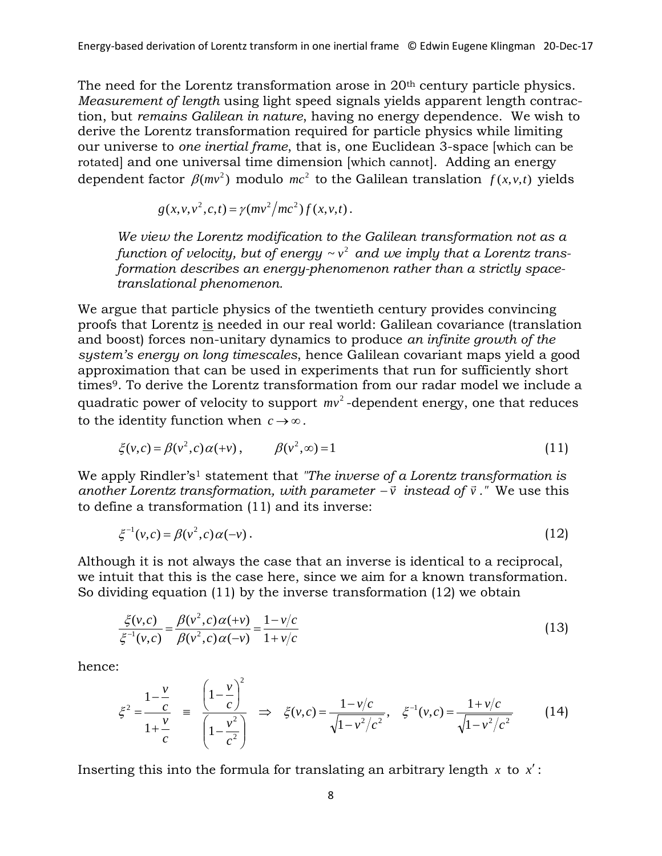The need for the Lorentz transformation arose in 20<sup>th</sup> century particle physics. *Measurement of length* using light speed signals yields apparent length contraction, but *remains Galilean in nature*, having no energy dependence. We wish to derive the Lorentz transformation required for particle physics while limiting our universe to *one inertial frame*, that is, one Euclidean 3-space [which can be rotated] and one universal time dimension [which cannot]. Adding an energy dependent factor  $\beta$ ( $mv^2$ ) modulo  $mc^2$  to the Galilean translation  $f(x, v, t)$  yields

$$
g(x, v, v^{2}, c, t) = \gamma (mv^{2}/mc^{2}) f(x, v, t).
$$

*We view the Lorentz modification to the Galilean transformation not as a function of velocity, but of energy*  $\sim v^2$  *and we imply that a Lorentz transformation describes an energy-phenomenon rather than a strictly spacetranslational phenomenon.* 

We argue that particle physics of the twentieth century provides convincing proofs that Lorentz is needed in our real world: Galilean covariance (translation and boost) forces non-unitary dynamics to produce *an infinite growth of the system's energy on long timescales*, hence Galilean covariant maps yield a good approximation that can be used in experiments that run for sufficiently short times<sup>9</sup>. To derive the Lorentz transformation from our radar model we include a quadratic power of velocity to support  $mv^2$ -dependent energy, one that reduces to the identity function when  $c \rightarrow \infty$ .

$$
\xi(v,c) = \beta(v^2,c)\alpha(+v), \qquad \beta(v^2,\infty) = 1 \tag{11}
$$

We apply Rindler's<sup>1</sup> statement that "The inverse of a Lorentz transformation is *another Lorentz transformation, with parameter −* $\vec{v}$  *instead of*  $\vec{v}$ *." We use this* to define a transformation (11) and its inverse:

$$
\xi^{-1}(v,c) = \beta(v^2,c)\alpha(-v) \,. \tag{12}
$$

Although it is not always the case that an inverse is identical to a reciprocal, we intuit that this is the case here, since we aim for a known transformation. So dividing equation (11) by the inverse transformation (12) we obtain

$$
\frac{\xi(v,c)}{\xi^{-1}(v,c)} = \frac{\beta(v^2,c)\alpha(+v)}{\beta(v^2,c)\alpha(-v)} = \frac{1-v/c}{1+v/c}
$$
\n(13)

hence:

$$
\xi^2 = \frac{1 - \frac{v}{c}}{1 + \frac{v}{c}} = \frac{\left(1 - \frac{v}{c}\right)^2}{\left(1 - \frac{v^2}{c^2}\right)} \implies \xi(v, c) = \frac{1 - v/c}{\sqrt{1 - v^2/c^2}}, \quad \xi^{-1}(v, c) = \frac{1 + v/c}{\sqrt{1 - v^2/c^2}} \tag{14}
$$

Inserting this into the formula for translating an arbitrary length  $x$  to  $x'$ :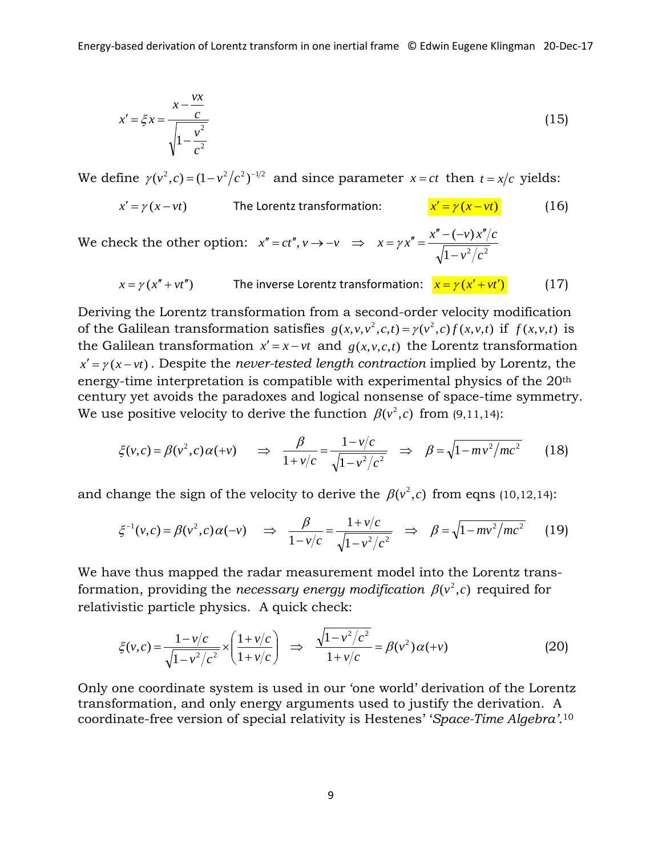$$
x' = \xi x = \frac{x - \frac{vx}{c}}{\sqrt{1 - \frac{v^2}{c^2}}}
$$
(15)

We define  $\gamma(v^2, c) = (1 - v^2/c^2)^{-1/2}$  and since parameter  $x = ct$  then  $t = x/c$  yields:

$$
x' = \gamma (x - vt)
$$
 The Lorentz transformation: 
$$
\frac{x' = \gamma (x - vt)}{x' = \gamma (x - vt)}
$$
 (16)

We check the other option:  $x'' = ct''$ ,  $v \to -v \implies x = \gamma x'' = \frac{x'' - (-v)x''}{\sqrt{1 - v^2/c^2}}$  $v^2/c$  $x = \gamma x'' = \frac{x'' - (-v) x''/c}{\sqrt{1 - v^2/c^2}}$  $\Rightarrow x = \gamma x'' = \frac{x'' - (-\nu) x''}{\sqrt{(\nu - \nu)^2}}$ 

$$
x = \gamma(x'' + vt'')
$$
 The inverse Lorentz transformation:  $x = \gamma(x' + vt')$  (17)

Deriving the Lorentz transformation from a second-order velocity modification of the Galilean transformation satisfies  $g(x, v, v^2, c, t) = \gamma(v^2, c) f(x, v, t)$  if  $f(x, v, t)$  is the Galilean transformation  $x' = x - vt$  and  $g(x, y, c, t)$  the Lorentz transformation  $x' = \gamma(x - vt)$ . Despite the *never-tested length contraction* implied by Lorentz, the energy-time interpretation is compatible with experimental physics of the 20th century yet avoids the paradoxes and logical nonsense of space-time symmetry. We use positive velocity to derive the function  $\beta(v^2, c)$  from (9,11,14):

$$
\xi(v, c) = \beta(v^2, c)\alpha(+v) \quad \Rightarrow \quad \frac{\beta}{1 + v/c} = \frac{1 - v/c}{\sqrt{1 - v^2/c^2}} \quad \Rightarrow \quad \beta = \sqrt{1 - mv^2/mc^2} \tag{18}
$$

and change the sign of the velocity to derive the  $\beta(v^2, c)$  from eqns (10,12,14):

$$
\xi^{-1}(v,c) = \beta(v^2,c)\alpha(-v) \quad \Rightarrow \quad \frac{\beta}{1 - v/c} = \frac{1 + v/c}{\sqrt{1 - v^2/c^2}} \quad \Rightarrow \quad \beta = \sqrt{1 - mv^2/mc^2} \tag{19}
$$

We have thus mapped the radar measurement model into the Lorentz transformation, providing the *necessary energy modification*  $\beta(v^2, c)$  required for relativistic particle physics. A quick check:

$$
\xi(v,c) = \frac{1 - v/c}{\sqrt{1 - v^2/c^2}} \times \left(\frac{1 + v/c}{1 + v/c}\right) \implies \frac{\sqrt{1 - v^2/c^2}}{1 + v/c} = \beta(v^2)\alpha(+v)
$$
(20)

Only one coordinate system is used in our 'one world' derivation of the Lorentz transformation, and only energy arguments used to justify the derivation. A coordinate-free version of special relativity is Hestenes' '*Space-Time Algebra'*.10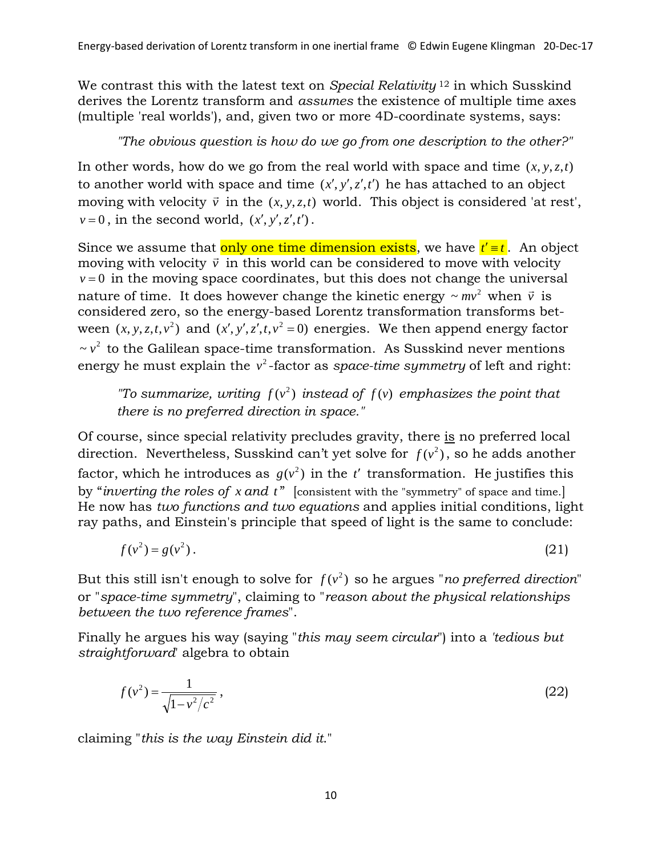We contrast this with the latest text on *Special Relativity* <sup>12</sup> in which Susskind derives the Lorentz transform and *assumes* the existence of multiple time axes (multiple 'real worlds'), and, given two or more 4D-coordinate systems, says:

*"The obvious question is how do we go from one description to the other?"*

In other words, how do we go from the real world with space and time  $(x, y, z, t)$ to another world with space and time  $(x', y', z', t')$  he has attached to an object moving with velocity  $\vec{v}$  in the  $(x, y, z, t)$  world. This object is considered 'at rest',  $v = 0$ , in the second world,  $(x', y', z', t')$ .

Since we assume that only one time dimension exists, we have  $t' = t$ . An object Since we assume that  $\frac{\partial \mathbf{n} \cdot \partial \mathbf{n}}{\partial \mathbf{n}}$  one time uniclessible cases, we have  $\mathbf{i} = \mathbf{i}$ . An objection moving with velocity  $\vec{v}$  in this world can be considered to move with velocity  $v = 0$  in the moving space coordinates, but this does not change the universal nature of time. It does however change the kinetic energy  $\sim mv^2$  when  $\vec{v}$  is considered zero, so the energy-based Lorentz transformation transforms between  $(x, y, z, t, v^2)$  and  $(x', y', z', t, v^2 = 0)$  energies. We then append energy factor  $\sim v^2$  to the Galilean space-time transformation. As Susskind never mentions energy he must explain the v<sup>2</sup>-factor as s*pace-time symmetry* of left and right:

*"To summarize, writing*  $f(v^2)$  *instead of*  $f(v)$  *emphasizes the point that there is no preferred direction in space."*

Of course, since special relativity precludes gravity, there is no preferred local direction. Nevertheless, Susskind can't yet solve for  $f(v^2)$ , so he adds another factor, which he introduces as  $g(v^2)$  in the *t'* transformation. He justifies this by "*inverting the roles of x and t* " [consistent with the "symmetry" of space and time.] He now has *two functions and two equations* and applies initial conditions, light ray paths, and Einstein's principle that speed of light is the same to conclude:

$$
f(v^2) = g(v^2). \tag{21}
$$

But this still isn't enough to solve for  $f(v^2)$  so he argues "*no preferred direction*" or "*space-time symmetry*", claiming to "*reason about the physical relationships between the two reference frames*".

Finally he argues his way (saying "*this may seem circular*") into a *'tedious but straightforward*' algebra to obtain

$$
f(v^2) = \frac{1}{\sqrt{1 - v^2/c^2}},
$$
\n(22)

claiming "*this is the way Einstein did it*."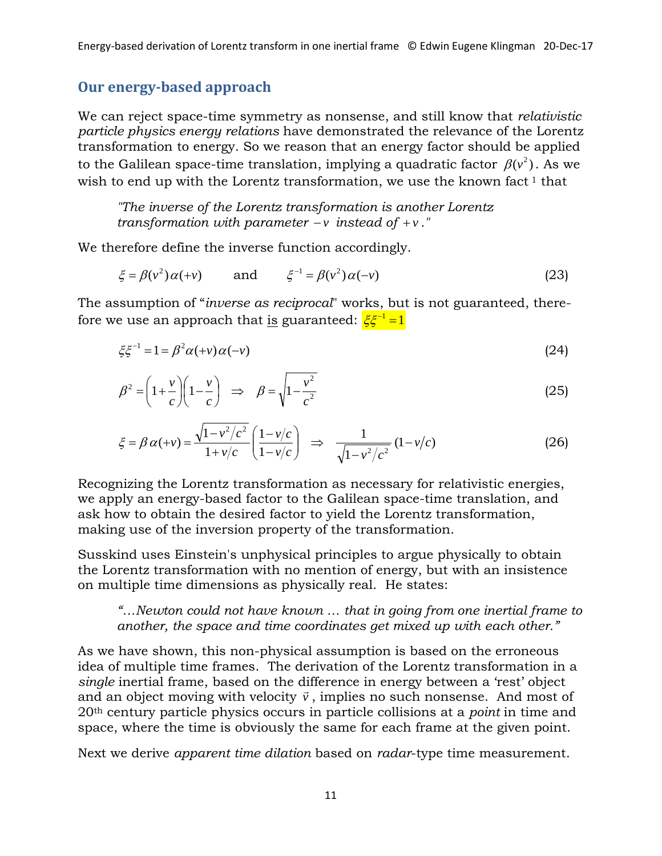# **Our energy-based approach**

We can reject space-time symmetry as nonsense, and still know that *relativistic particle physics energy relations* have demonstrated the relevance of the Lorentz transformation to energy. So we reason that an energy factor should be applied to the Galilean space-time translation, implying a quadratic factor  $\,\beta({\rm v}^{\rm 2})$ . As we wish to end up with the Lorentz transformation, we use the known fact  $1$  that

*"The inverse of the Lorentz transformation is another Lorentz transformation with parameter*  $-\nu$  *instead of*  $+\nu$ *."* 

We therefore define the inverse function accordingly.

$$
\xi = \beta(v^2)\alpha(+v) \qquad \text{and} \qquad \xi^{-1} = \beta(v^2)\alpha(-v) \tag{23}
$$

The assumption of "*inverse as reciprocal*" works, but is not guaranteed, therefore we use an approach that is guaranteed:  $\zeta \zeta^{-1} = 1$ 

$$
\xi \xi^{-1} = 1 = \beta^2 \alpha(+v) \alpha(-v) \tag{24}
$$

$$
\beta^2 = \left(1 + \frac{v}{c}\right)\left(1 - \frac{v}{c}\right) \Rightarrow \beta = \sqrt{1 - \frac{v^2}{c^2}}
$$
\n(25)

$$
\xi = \beta \alpha (+v) = \frac{\sqrt{1 - v^2/c^2}}{1 + v/c} \left( \frac{1 - v/c}{1 - v/c} \right) \implies \frac{1}{\sqrt{1 - v^2/c^2}} (1 - v/c) \tag{26}
$$

Recognizing the Lorentz transformation as necessary for relativistic energies, we apply an energy-based factor to the Galilean space-time translation, and ask how to obtain the desired factor to yield the Lorentz transformation, making use of the inversion property of the transformation.

Susskind uses Einstein's unphysical principles to argue physically to obtain the Lorentz transformation with no mention of energy, but with an insistence on multiple time dimensions as physically real. He states:

*"…Newton could not have known … that in going from one inertial frame to another, the space and time coordinates get mixed up with each other."* 

As we have shown, this non-physical assumption is based on the erroneous idea of multiple time frames. The derivation of the Lorentz transformation in a *single* inertial frame, based on the difference in energy between a 'rest' object single incrual hand, based on the underline in energy between a rest object<br>and an object moving with velocity  $\vec{v}$ , implies no such nonsense. And most of 20th century particle physics occurs in particle collisions at a *point* in time and space, where the time is obviously the same for each frame at the given point.

Next we derive *apparent time dilation* based on *radar*-type time measurement.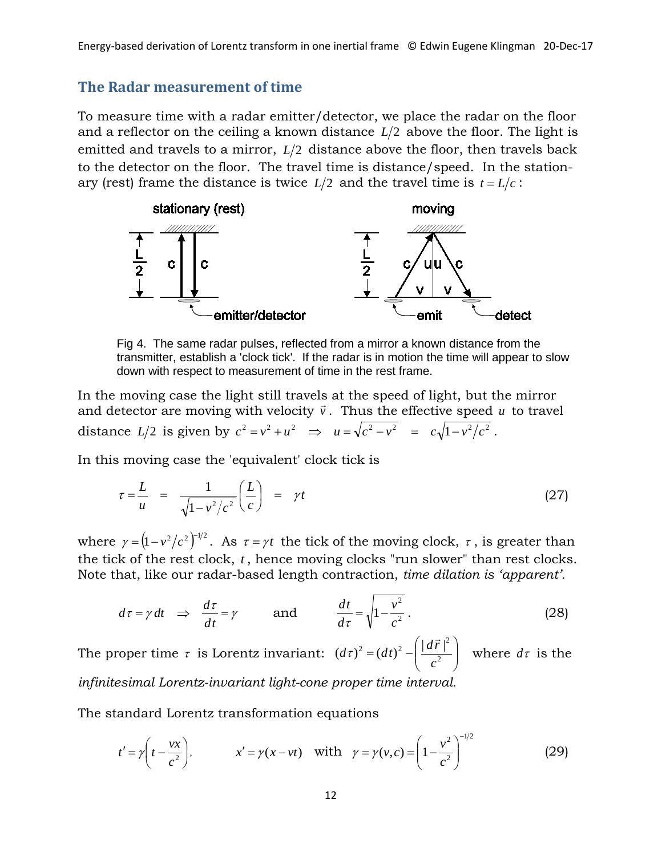## **The Radar measurement of time**

To measure time with a radar emitter/detector, we place the radar on the floor and a reflector on the ceiling a known distance  $L/2$  above the floor. The light is emitted and travels to a mirror,  $L/2$  distance above the floor, then travels back to the detector on the floor. The travel time is distance/speed. In the stationary (rest) frame the distance is twice  $L/2$  and the travel time is  $t = L/c$ :



Fig 4. The same radar pulses, reflected from a mirror a known distance from the transmitter, establish a 'clock tick'. If the radar is in motion the time will appear to slow down with respect to measurement of time in the rest frame.

In the moving case the light still travels at the speed of light, but the mirror and detector are moving with velocity  $\vec{v}$ . Thus the effective speed  $\vec{u}$  to travel distance  $L/2$  is given by  $c^2 = v^2 + u^2 \implies u = \sqrt{c^2 - v^2} = c\sqrt{1 - v^2/c^2}$ .

In this moving case the 'equivalent' clock tick is

$$
\tau = \frac{L}{u} = \frac{1}{\sqrt{1 - v^2/c^2}} \left(\frac{L}{c}\right) = \gamma t \tag{27}
$$

where  $\gamma = (1 - v^2/c^2)^{-1/2}$ . As  $\tau = \gamma t$  the tick of the moving clock,  $\tau$ , is greater than the tick of the rest clock, *t*, hence moving clocks "run slower" than rest clocks. Note that, like our radar-based length contraction, *time dilation is 'apparent'.*

$$
d\tau = \gamma \, dt \quad \Rightarrow \quad \frac{d\tau}{dt} = \gamma \qquad \text{and} \qquad \frac{dt}{d\tau} = \sqrt{1 - \frac{v^2}{c^2}} \,. \tag{28}
$$

The proper time  $\tau$  is Lorentz invariant:  $(d\tau)^2 = (dt)^2 - \left(\frac{|u\tau|^2}{c^2}\right)^2$ J  $\setminus$  $\overline{\phantom{a}}$  $\setminus$  $(d\tau)^2 = (dt)^2 - \left(\frac{|d\vec{r}|^2}{c^2}\right)$ *c*  $d\tau$ <sup>2</sup> =  $(dt)^2 - \left(\frac{d\vec{r}}{dt}\right)^2$  $(\tau)^2 = (dt)^2 - \frac{|\mathbf{u} \cdot \mathbf{v}|}{2}$  where  $d\tau$  is the *infinitesimal Lorentz-invariant light-cone proper time interval*.

The standard Lorentz transformation equations

$$
t' = \gamma \left( t - \frac{vx}{c^2} \right),
$$
  $x' = \gamma (x - vt)$  with  $\gamma = \gamma (v, c) = \left( 1 - \frac{v^2}{c^2} \right)^{-1/2}$  (29)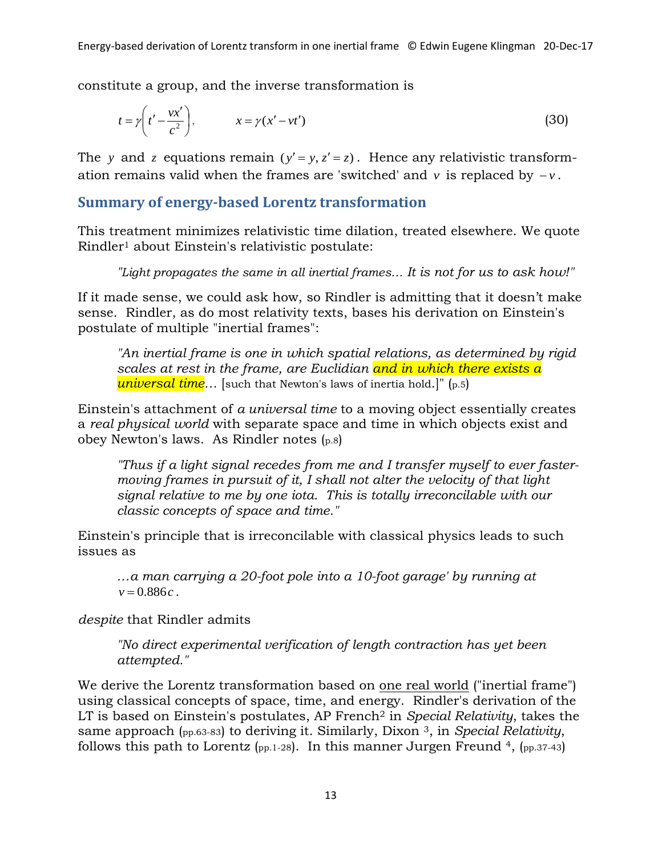constitute a group, and the inverse transformation is

$$
t = \gamma \left( t' - \frac{vx'}{c^2} \right), \qquad x = \gamma (x' - vt') \tag{30}
$$

The *y* and *z* equations remain  $(y' = y, z' = z)$ . Hence any relativistic transformation remains valid when the frames are 'switched' and  $\nu$  is replaced by  $-\nu$ .

## **Summary of energy-based Lorentz transformation**

This treatment minimizes relativistic time dilation, treated elsewhere. We quote Rindler1 about Einstein's relativistic postulate:

*"Light propagates the same in all inertial frames… It is not for us to ask how!"*

If it made sense, we could ask how, so Rindler is admitting that it doesn't make sense. Rindler, as do most relativity texts, bases his derivation on Einstein's postulate of multiple "inertial frames":

*"An inertial frame is one in which spatial relations, as determined by rigid scales at rest in the frame, are Euclidian and in which there exists a universal time…* [such that Newton's laws of inertia hold.]" (p.5)

Einstein's attachment of *a universal time* to a moving object essentially creates a *real physical world* with separate space and time in which objects exist and obey Newton's laws. As Rindler notes (p.8)

*"Thus if a light signal recedes from me and I transfer myself to ever fastermoving frames in pursuit of it, I shall not alter the velocity of that light signal relative to me by one iota. This is totally irreconcilable with our classic concepts of space and time."*

Einstein's principle that is irreconcilable with classical physics leads to such issues as

*…a man carrying a 20-foot pole into a 10-foot garage' by running at*   $v = 0.886c$ .

*despite* that Rindler admits

*"No direct experimental verification of length contraction has yet been attempted."*

We derive the Lorentz transformation based on <u>one real world</u> ("inertial frame") using classical concepts of space, time, and energy. Rindler's derivation of the LT is based on Einstein's postulates, AP French2 in *Special Relativity*, takes the same approach (pp.63-83) to deriving it. Similarly, Dixon 3, in *Special Relativity*, follows this path to Lorentz (pp. 1-28). In this manner Jurgen Freund 4, (pp. 37-43)